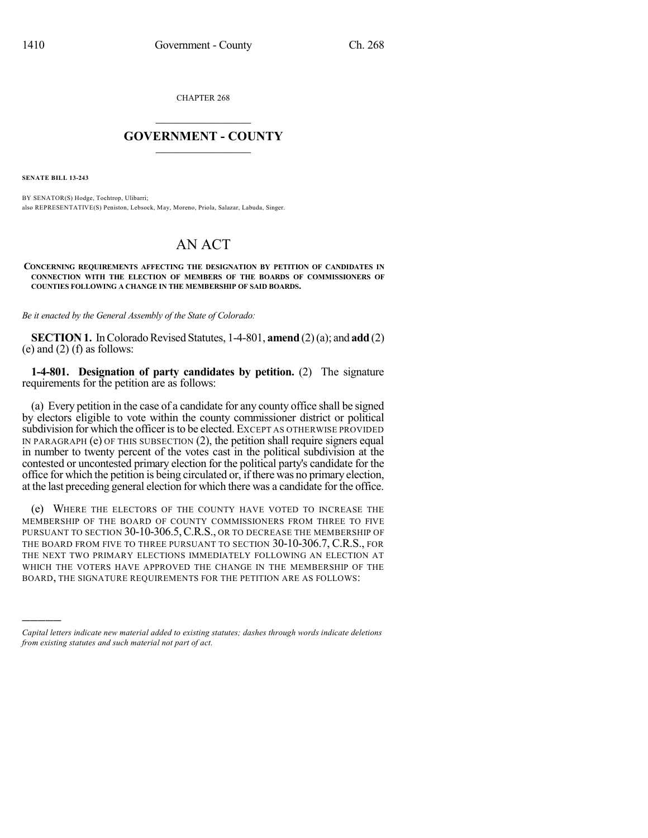CHAPTER 268

## $\overline{\phantom{a}}$  . The set of the set of the set of the set of the set of the set of the set of the set of the set of the set of the set of the set of the set of the set of the set of the set of the set of the set of the set o **GOVERNMENT - COUNTY**  $\_$

**SENATE BILL 13-243**

)))))

BY SENATOR(S) Hodge, Tochtrop, Ulibarri; also REPRESENTATIVE(S) Peniston, Lebsock, May, Moreno, Priola, Salazar, Labuda, Singer.

## AN ACT

**CONCERNING REQUIREMENTS AFFECTING THE DESIGNATION BY PETITION OF CANDIDATES IN CONNECTION WITH THE ELECTION OF MEMBERS OF THE BOARDS OF COMMISSIONERS OF COUNTIES FOLLOWING A CHANGE IN THE MEMBERSHIP OF SAID BOARDS.**

*Be it enacted by the General Assembly of the State of Colorado:*

**SECTION 1.** In Colorado Revised Statutes, 1-4-801, **amend** (2)(a); and **add** (2) (e) and  $(2)$  (f) as follows:

**1-4-801. Designation of party candidates by petition.** (2) The signature requirements for the petition are as follows:

(a) Every petition in the case of a candidate for any county office shall be signed by electors eligible to vote within the county commissioner district or political subdivision for which the officer isto be elected. EXCEPT AS OTHERWISE PROVIDED IN PARAGRAPH (e) OF THIS SUBSECTION (2), the petition shall require signers equal in number to twenty percent of the votes cast in the political subdivision at the contested or uncontested primary election for the political party's candidate for the office for which the petition is being circulated or, ifthere was no primary election, at the last preceding general election for which there was a candidate for the office.

(e) WHERE THE ELECTORS OF THE COUNTY HAVE VOTED TO INCREASE THE MEMBERSHIP OF THE BOARD OF COUNTY COMMISSIONERS FROM THREE TO FIVE PURSUANT TO SECTION 30-10-306.5, C.R.S., OR TO DECREASE THE MEMBERSHIP OF THE BOARD FROM FIVE TO THREE PURSUANT TO SECTION 30-10-306.7, C.R.S., FOR THE NEXT TWO PRIMARY ELECTIONS IMMEDIATELY FOLLOWING AN ELECTION AT WHICH THE VOTERS HAVE APPROVED THE CHANGE IN THE MEMBERSHIP OF THE BOARD, THE SIGNATURE REQUIREMENTS FOR THE PETITION ARE AS FOLLOWS:

*Capital letters indicate new material added to existing statutes; dashes through words indicate deletions from existing statutes and such material not part of act.*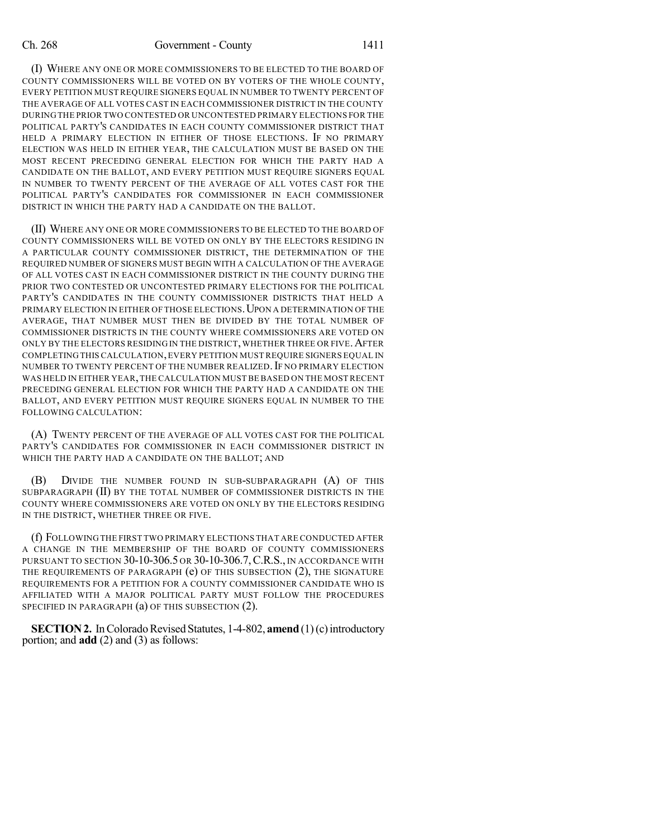## Ch. 268 Government - County 1411

(I) WHERE ANY ONE OR MORE COMMISSIONERS TO BE ELECTED TO THE BOARD OF COUNTY COMMISSIONERS WILL BE VOTED ON BY VOTERS OF THE WHOLE COUNTY, EVERY PETITION MUST REQUIRE SIGNERS EQUAL IN NUMBER TO TWENTY PERCENT OF THE AVERAGE OF ALL VOTES CAST IN EACH COMMISSIONER DISTRICT IN THE COUNTY DURING THE PRIOR TWO CONTESTED OR UNCONTESTED PRIMARY ELECTIONS FOR THE POLITICAL PARTY'S CANDIDATES IN EACH COUNTY COMMISSIONER DISTRICT THAT HELD A PRIMARY ELECTION IN EITHER OF THOSE ELECTIONS. IF NO PRIMARY ELECTION WAS HELD IN EITHER YEAR, THE CALCULATION MUST BE BASED ON THE MOST RECENT PRECEDING GENERAL ELECTION FOR WHICH THE PARTY HAD A CANDIDATE ON THE BALLOT, AND EVERY PETITION MUST REQUIRE SIGNERS EQUAL IN NUMBER TO TWENTY PERCENT OF THE AVERAGE OF ALL VOTES CAST FOR THE POLITICAL PARTY'S CANDIDATES FOR COMMISSIONER IN EACH COMMISSIONER DISTRICT IN WHICH THE PARTY HAD A CANDIDATE ON THE BALLOT.

(II) WHERE ANY ONE OR MORE COMMISSIONERS TO BE ELECTED TO THE BOARD OF COUNTY COMMISSIONERS WILL BE VOTED ON ONLY BY THE ELECTORS RESIDING IN A PARTICULAR COUNTY COMMISSIONER DISTRICT, THE DETERMINATION OF THE REQUIRED NUMBER OF SIGNERS MUST BEGIN WITH A CALCULATION OF THE AVERAGE OF ALL VOTES CAST IN EACH COMMISSIONER DISTRICT IN THE COUNTY DURING THE PRIOR TWO CONTESTED OR UNCONTESTED PRIMARY ELECTIONS FOR THE POLITICAL PARTY'S CANDIDATES IN THE COUNTY COMMISSIONER DISTRICTS THAT HELD A PRIMARY ELECTION IN EITHER OF THOSE ELECTIONS. UPON A DETERMINATION OF THE AVERAGE, THAT NUMBER MUST THEN BE DIVIDED BY THE TOTAL NUMBER OF COMMISSIONER DISTRICTS IN THE COUNTY WHERE COMMISSIONERS ARE VOTED ON ONLY BY THE ELECTORS RESIDING IN THE DISTRICT, WHETHER THREE OR FIVE. AFTER COMPLETING THIS CALCULATION,EVERY PETITION MUST REQUIRE SIGNERS EQUAL IN NUMBER TO TWENTY PERCENT OF THE NUMBER REALIZED. IF NO PRIMARY ELECTION WAS HELD IN EITHER YEAR,THE CALCULATION MUSTBE BASED ON THE MOSTRECENT PRECEDING GENERAL ELECTION FOR WHICH THE PARTY HAD A CANDIDATE ON THE BALLOT, AND EVERY PETITION MUST REQUIRE SIGNERS EQUAL IN NUMBER TO THE FOLLOWING CALCULATION:

(A) TWENTY PERCENT OF THE AVERAGE OF ALL VOTES CAST FOR THE POLITICAL PARTY'S CANDIDATES FOR COMMISSIONER IN EACH COMMISSIONER DISTRICT IN WHICH THE PARTY HAD A CANDIDATE ON THE BALLOT; AND

(B) DIVIDE THE NUMBER FOUND IN SUB-SUBPARAGRAPH (A) OF THIS SUBPARAGRAPH (II) BY THE TOTAL NUMBER OF COMMISSIONER DISTRICTS IN THE COUNTY WHERE COMMISSIONERS ARE VOTED ON ONLY BY THE ELECTORS RESIDING IN THE DISTRICT, WHETHER THREE OR FIVE.

(f) FOLLOWING THE FIRST TWO PRIMARY ELECTIONS THAT ARE CONDUCTED AFTER A CHANGE IN THE MEMBERSHIP OF THE BOARD OF COUNTY COMMISSIONERS PURSUANT TO SECTION 30-10-306.5 OR 30-10-306.7,C.R.S., IN ACCORDANCE WITH THE REQUIREMENTS OF PARAGRAPH (e) OF THIS SUBSECTION (2), THE SIGNATURE REQUIREMENTS FOR A PETITION FOR A COUNTY COMMISSIONER CANDIDATE WHO IS AFFILIATED WITH A MAJOR POLITICAL PARTY MUST FOLLOW THE PROCEDURES SPECIFIED IN PARAGRAPH (a) OF THIS SUBSECTION (2).

**SECTION 2.** In Colorado Revised Statutes, 1-4-802, **amend** (1)(c) introductory portion; and **add** (2) and (3) as follows: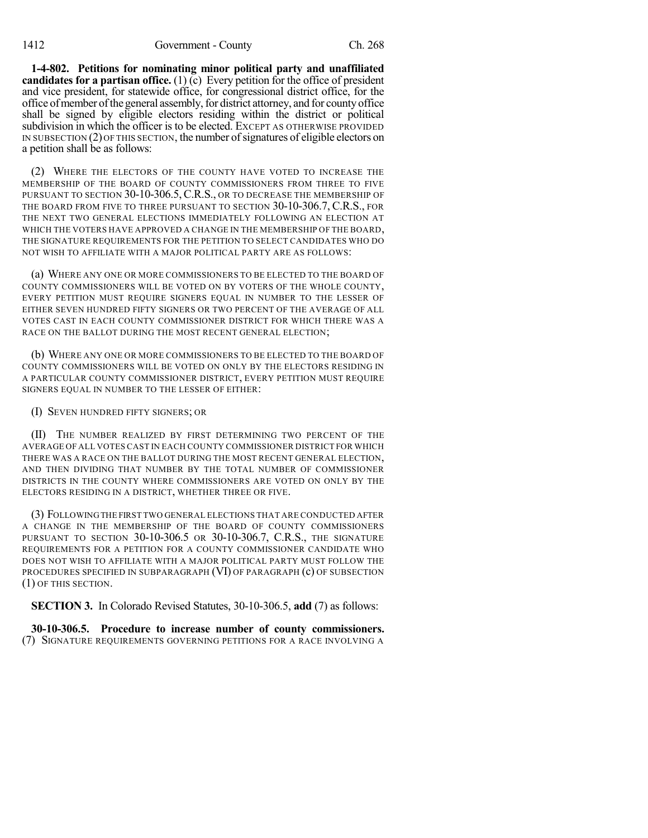1412 Government - County Ch. 268

**1-4-802. Petitions for nominating minor political party and unaffiliated candidates for a partisan office.** (1)  $\overline{c}$ ) Every petition for the office of president and vice president, for statewide office, for congressional district office, for the office of member of the general assembly, for district attorney, and for county office shall be signed by eligible electors residing within the district or political subdivision in which the officer is to be elected. EXCEPT AS OTHERWISE PROVIDED IN SUBSECTION  $(2)$  OF THIS SECTION, the number of signatures of eligible electors on a petition shall be as follows:

(2) WHERE THE ELECTORS OF THE COUNTY HAVE VOTED TO INCREASE THE MEMBERSHIP OF THE BOARD OF COUNTY COMMISSIONERS FROM THREE TO FIVE PURSUANT TO SECTION 30-10-306.5, C.R.S., OR TO DECREASE THE MEMBERSHIP OF THE BOARD FROM FIVE TO THREE PURSUANT TO SECTION 30-10-306.7, C.R.S., FOR THE NEXT TWO GENERAL ELECTIONS IMMEDIATELY FOLLOWING AN ELECTION AT WHICH THE VOTERS HAVE APPROVED A CHANGE IN THE MEMBERSHIP OF THE BOARD. THE SIGNATURE REQUIREMENTS FOR THE PETITION TO SELECT CANDIDATES WHO DO NOT WISH TO AFFILIATE WITH A MAJOR POLITICAL PARTY ARE AS FOLLOWS:

(a) WHERE ANY ONE OR MORE COMMISSIONERS TO BE ELECTED TO THE BOARD OF COUNTY COMMISSIONERS WILL BE VOTED ON BY VOTERS OF THE WHOLE COUNTY, EVERY PETITION MUST REQUIRE SIGNERS EQUAL IN NUMBER TO THE LESSER OF EITHER SEVEN HUNDRED FIFTY SIGNERS OR TWO PERCENT OF THE AVERAGE OF ALL VOTES CAST IN EACH COUNTY COMMISSIONER DISTRICT FOR WHICH THERE WAS A RACE ON THE BALLOT DURING THE MOST RECENT GENERAL ELECTION;

(b) WHERE ANY ONE OR MORE COMMISSIONERS TO BE ELECTED TO THE BOARD OF COUNTY COMMISSIONERS WILL BE VOTED ON ONLY BY THE ELECTORS RESIDING IN A PARTICULAR COUNTY COMMISSIONER DISTRICT, EVERY PETITION MUST REQUIRE SIGNERS EQUAL IN NUMBER TO THE LESSER OF EITHER:

(I) SEVEN HUNDRED FIFTY SIGNERS; OR

(II) THE NUMBER REALIZED BY FIRST DETERMINING TWO PERCENT OF THE AVERAGE OF ALL VOTES CAST IN EACH COUNTY COMMISSIONER DISTRICT FOR WHICH THERE WAS A RACE ON THE BALLOT DURING THE MOST RECENT GENERAL ELECTION, AND THEN DIVIDING THAT NUMBER BY THE TOTAL NUMBER OF COMMISSIONER DISTRICTS IN THE COUNTY WHERE COMMISSIONERS ARE VOTED ON ONLY BY THE ELECTORS RESIDING IN A DISTRICT, WHETHER THREE OR FIVE.

(3) FOLLOWINGTHE FIRST TWO GENERAL ELECTIONS THAT ARE CONDUCTED AFTER A CHANGE IN THE MEMBERSHIP OF THE BOARD OF COUNTY COMMISSIONERS PURSUANT TO SECTION 30-10-306.5 OR 30-10-306.7, C.R.S., THE SIGNATURE REQUIREMENTS FOR A PETITION FOR A COUNTY COMMISSIONER CANDIDATE WHO DOES NOT WISH TO AFFILIATE WITH A MAJOR POLITICAL PARTY MUST FOLLOW THE PROCEDURES SPECIFIED IN SUBPARAGRAPH (VI) OF PARAGRAPH (c) OF SUBSECTION (1) OF THIS SECTION.

**SECTION 3.** In Colorado Revised Statutes, 30-10-306.5, **add** (7) as follows:

**30-10-306.5. Procedure to increase number of county commissioners.** (7) SIGNATURE REQUIREMENTS GOVERNING PETITIONS FOR A RACE INVOLVING A